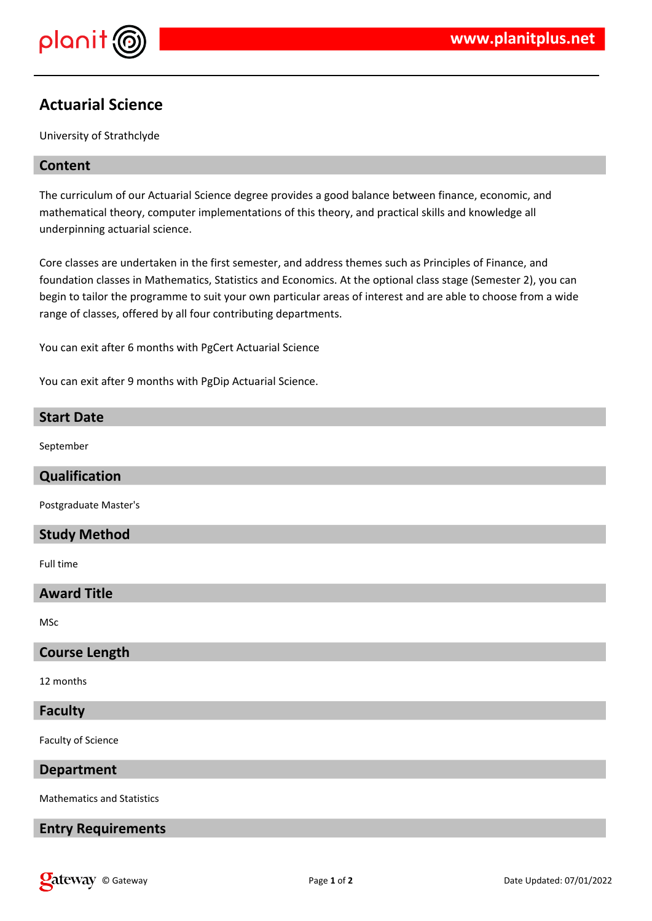

# **Actuarial Science**

University of Strathclyde

# **Content**

The curriculum of our Actuarial Science degree provides a good balance between finance, economic, and mathematical theory, computer implementations of this theory, and practical skills and knowledge all underpinning actuarial science.

Core classes are undertaken in the first semester, and address themes such as Principles of Finance, and foundation classes in Mathematics, Statistics and Economics. At the optional class stage (Semester 2), you can begin to tailor the programme to suit your own particular areas of interest and are able to choose from a wide range of classes, offered by all four contributing departments.

You can exit after 6 months with PgCert Actuarial Science

You can exit after 9 months with PgDip Actuarial Science.

| <b>Start Date</b>     |
|-----------------------|
| September             |
| Qualification         |
| Postgraduate Master's |
| <b>Study Method</b>   |
| Full time             |
| <b>Award Title</b>    |
| MSc                   |
| <b>Course Length</b>  |
| 12 months             |
| <b>Faculty</b>        |
| Faculty of Science    |

**Department**

Mathematics and Statistics

## **Entry Requirements**